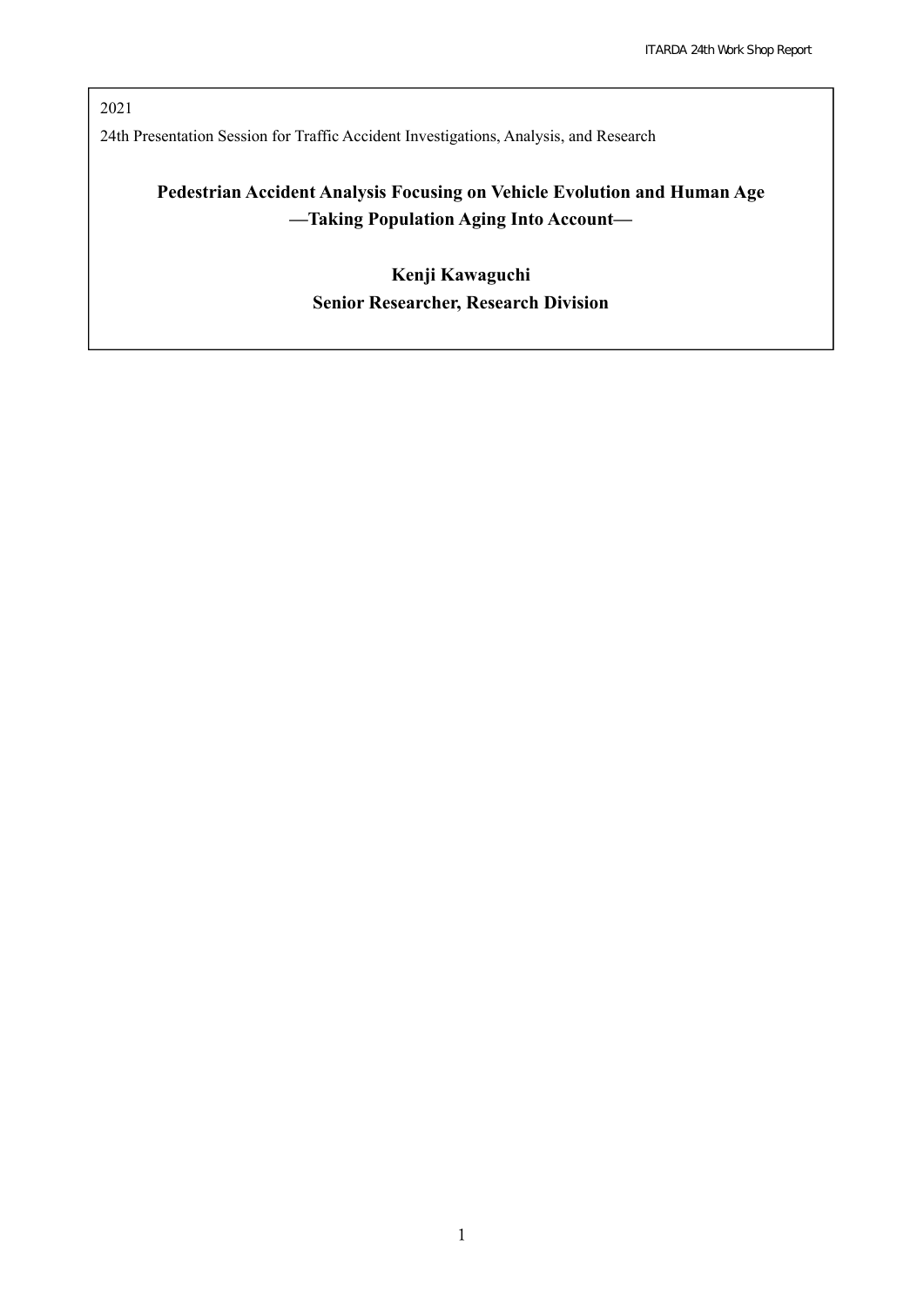2021 24th Presentation Session for Traffic Accident Investigations, Analysis, and Research

# **Pedestrian Accident Analysis Focusing on Vehicle Evolution and Human Age —Taking Population Aging Into Account—**

**Kenji Kawaguchi Senior Researcher, Research Division**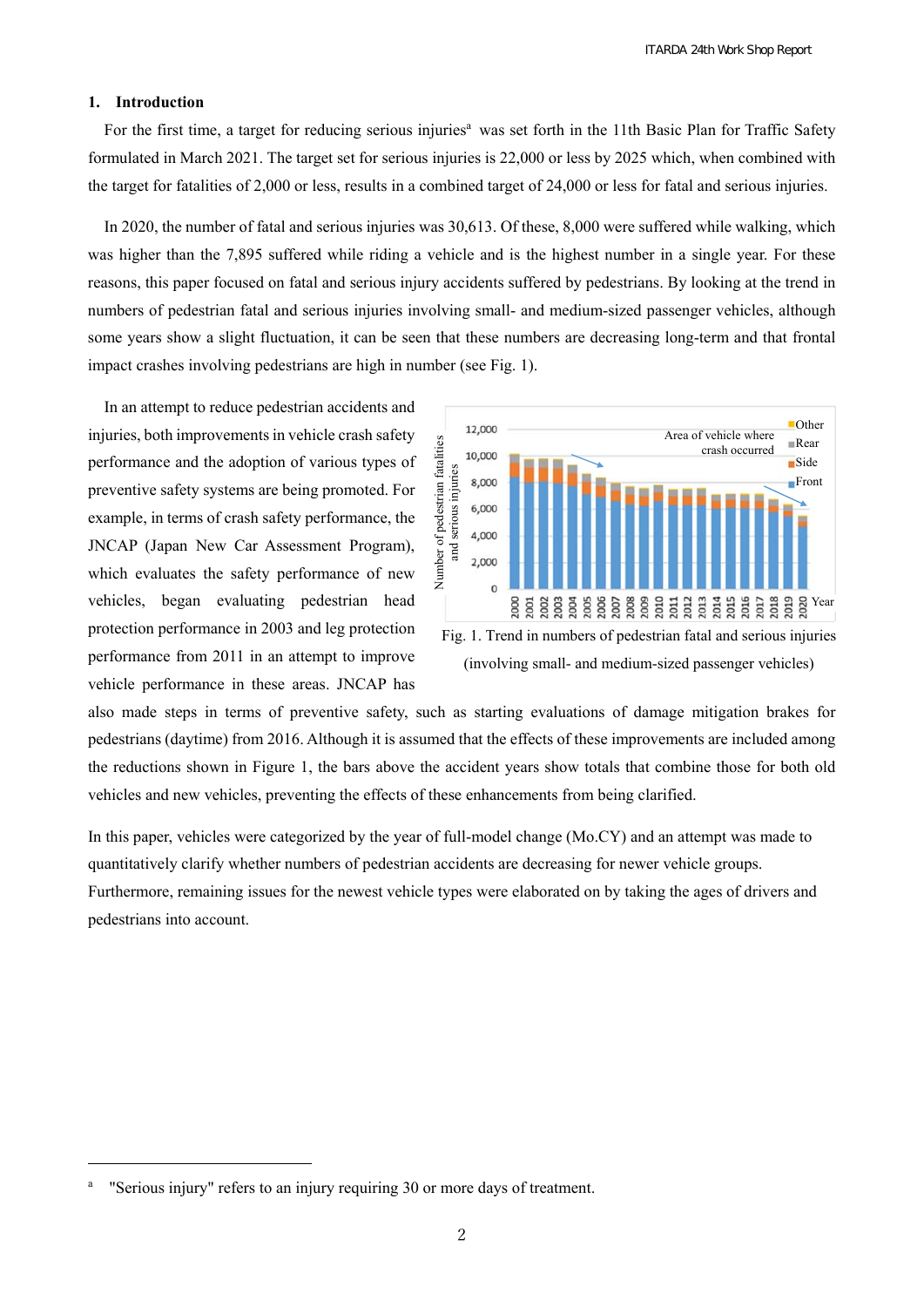#### **1. Introduction**

For the first time, a target for reducing serious injuries<sup>a</sup> was set forth in the 11th Basic Plan for Traffic Safety formulated in March 2021. The target set for serious injuries is 22,000 or less by 2025 which, when combined with the target for fatalities of 2,000 or less, results in a combined target of 24,000 or less for fatal and serious injuries.

In 2020, the number of fatal and serious injuries was 30,613. Of these, 8,000 were suffered while walking, which was higher than the 7,895 suffered while riding a vehicle and is the highest number in a single year. For these reasons, this paper focused on fatal and serious injury accidents suffered by pedestrians. By looking at the trend in numbers of pedestrian fatal and serious injuries involving small- and medium-sized passenger vehicles, although some years show a slight fluctuation, it can be seen that these numbers are decreasing long-term and that frontal impact crashes involving pedestrians are high in number (see Fig. 1).

In an attempt to reduce pedestrian accidents and injuries, both improvements in vehicle crash safety performance and the adoption of various types of preventive safety systems are being promoted. For example, in terms of crash safety performance, the JNCAP (Japan New Car Assessment Program), which evaluates the safety performance of new vehicles, began evaluating pedestrian head protection performance in 2003 and leg protection performance from 2011 in an attempt to improve vehicle performance in these areas. JNCAP has



Fig. 1. Trend in numbers of pedestrian fatal and serious injuries (involving small- and medium-sized passenger vehicles)

also made steps in terms of preventive safety, such as starting evaluations of damage mitigation brakes for pedestrians (daytime) from 2016. Although it is assumed that the effects of these improvements are included among the reductions shown in Figure 1, the bars above the accident years show totals that combine those for both old vehicles and new vehicles, preventing the effects of these enhancements from being clarified.

In this paper, vehicles were categorized by the year of full-model change (Mo.CY) and an attempt was made to quantitatively clarify whether numbers of pedestrian accidents are decreasing for newer vehicle groups. Furthermore, remaining issues for the newest vehicle types were elaborated on by taking the ages of drivers and pedestrians into account.

j

a "Serious injury" refers to an injury requiring 30 or more days of treatment.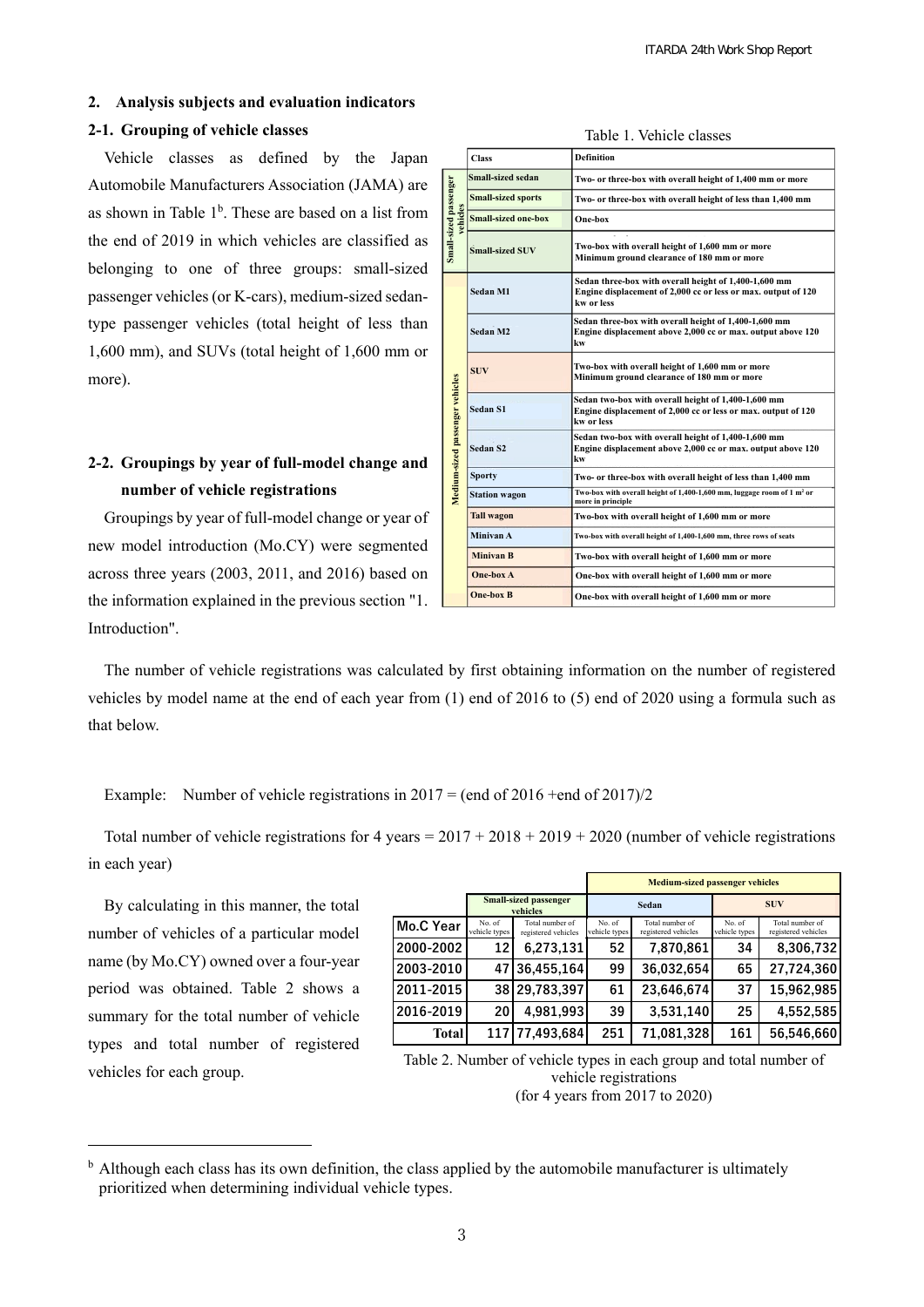### **2. Analysis subjects and evaluation indicators**

#### **2-1. Grouping of vehicle classes**

Vehicle classes as defined by the Japan Automobile Manufacturers Association (JAMA) are as shown in Table 1<sup>b</sup>. These are based on a list from the end of 2019 in which vehicles are classified as belonging to one of three groups: small-sized passenger vehicles (or K-cars), medium-sized sedantype passenger vehicles (total height of less than 1,600 mm), and SUVs (total height of 1,600 mm or more).

# **2-2. Groupings by year of full-model change and number of vehicle registrations**

Groupings by year of full-model change or year of new model introduction (Mo.CY) were segmented across three years (2003, 2011, and 2016) based on the information explained in the previous section "1. Introduction".

| Small-sized passenger<br>vehicles | <b>Small-sized sedan</b>   | Two- or three-box with overall height of 1,400 mm or more                                                                            |  |  |
|-----------------------------------|----------------------------|--------------------------------------------------------------------------------------------------------------------------------------|--|--|
|                                   | <b>Small-sized sports</b>  | Two- or three-box with overall height of less than 1,400 mm                                                                          |  |  |
|                                   | <b>Small-sized one-box</b> | One-box                                                                                                                              |  |  |
|                                   | <b>Small-sized SUV</b>     | Two-box with overall height of 1,600 mm or more<br>Minimum ground clearance of 180 mm or more                                        |  |  |
| Medium-sized passenger vehicles   | Sedan M1                   | Sedan three-box with overall height of 1,400-1,600 mm<br>Engine displacement of 2,000 cc or less or max, output of 120<br>kw or less |  |  |
|                                   | Sedan M2                   | Sedan three-box with overall height of 1,400-1,600 mm<br>Engine displacement above 2,000 cc or max. output above 120<br>kw           |  |  |
|                                   | <b>SUV</b>                 | Two-box with overall height of 1,600 mm or more<br>Minimum ground clearance of 180 mm or more                                        |  |  |
|                                   | <b>Sedan S1</b>            | Sedan two-box with overall height of 1,400-1,600 mm<br>Engine displacement of 2,000 cc or less or max. output of 120<br>kw or less   |  |  |
|                                   | Sedan S2                   | Sedan two-box with overall height of 1,400-1,600 mm<br>Engine displacement above 2,000 cc or max. output above 120<br>kw             |  |  |
|                                   | <b>Sporty</b>              | Two- or three-box with overall height of less than 1,400 mm                                                                          |  |  |
|                                   | <b>Station wagon</b>       | Two-box with overall height of 1,400-1,600 mm, luggage room of 1 m <sup>2</sup> or<br>more in principle                              |  |  |
|                                   | <b>Tall wagon</b>          | Two-box with overall height of 1,600 mm or more                                                                                      |  |  |
|                                   | Minivan A                  | Two-box with overall height of 1,400-1,600 mm, three rows of seats                                                                   |  |  |
|                                   | <b>Minivan B</b>           | Two-box with overall height of 1,600 mm or more                                                                                      |  |  |
|                                   | One-box A                  | One-box with overall height of 1,600 mm or more                                                                                      |  |  |
|                                   | <b>One-box B</b>           | One-box with overall height of 1,600 mm or more                                                                                      |  |  |

Table 1. Vehicle classes

**Definition** 

The number of vehicle registrations was calculated by first obtaining information on the number of registered vehicles by model name at the end of each year from (1) end of 2016 to (5) end of 2020 using a formula such as that below.

**Class** 

Example: Number of vehicle registrations in  $2017 = (end of 2016 + end of 2017)/2$ 

Total number of vehicle registrations for 4 years =  $2017 + 2018 + 2019 + 2020$  (number of vehicle registrations in each year)

By calculating in this manner, the total number of vehicles of a particular model name (by Mo.CY) owned over a four-year period was obtained. Table 2 shows a summary for the total number of vehicle types and total number of registered vehicles for each group.

j

|              |                                          |                                        | <b>Medium-sized passenger vehicles</b> |                                        |                         |                                        |
|--------------|------------------------------------------|----------------------------------------|----------------------------------------|----------------------------------------|-------------------------|----------------------------------------|
|              | <b>Small-sized passenger</b><br>vehicles |                                        | Sedan                                  |                                        | <b>SUV</b>              |                                        |
| Mo.C Year    | No. of<br>vehicle types                  | Total number of<br>registered vehicles | No. of<br>vehicle types                | Total number of<br>registered vehicles | No. of<br>vehicle types | Total number of<br>registered vehicles |
| 2000-2002    | 12                                       | 6.273.131                              | 52                                     | 7.870.861                              | 34                      | 8,306,732                              |
| 2003-2010    | 47                                       | 36.455.164                             | 99                                     | 36.032.654                             | 65                      | 27.724.360                             |
| 2011-2015    |                                          | 38 29.783.397                          | 61                                     | 23.646.674                             | 37                      | 15.962.985                             |
| 2016-2019    | 20                                       | 4.981.993                              | 39                                     | 3.531.140                              | 25                      | 4,552,585                              |
| <b>Total</b> | 1171                                     | 77,493,684                             | 251                                    | 71.081.328                             | 161                     | 56,546,660                             |

Table 2. Number of vehicle types in each group and total number of vehicle registrations (for 4 years from 2017 to 2020)

<sup>&</sup>lt;sup>b</sup> Although each class has its own definition, the class applied by the automobile manufacturer is ultimately prioritized when determining individual vehicle types.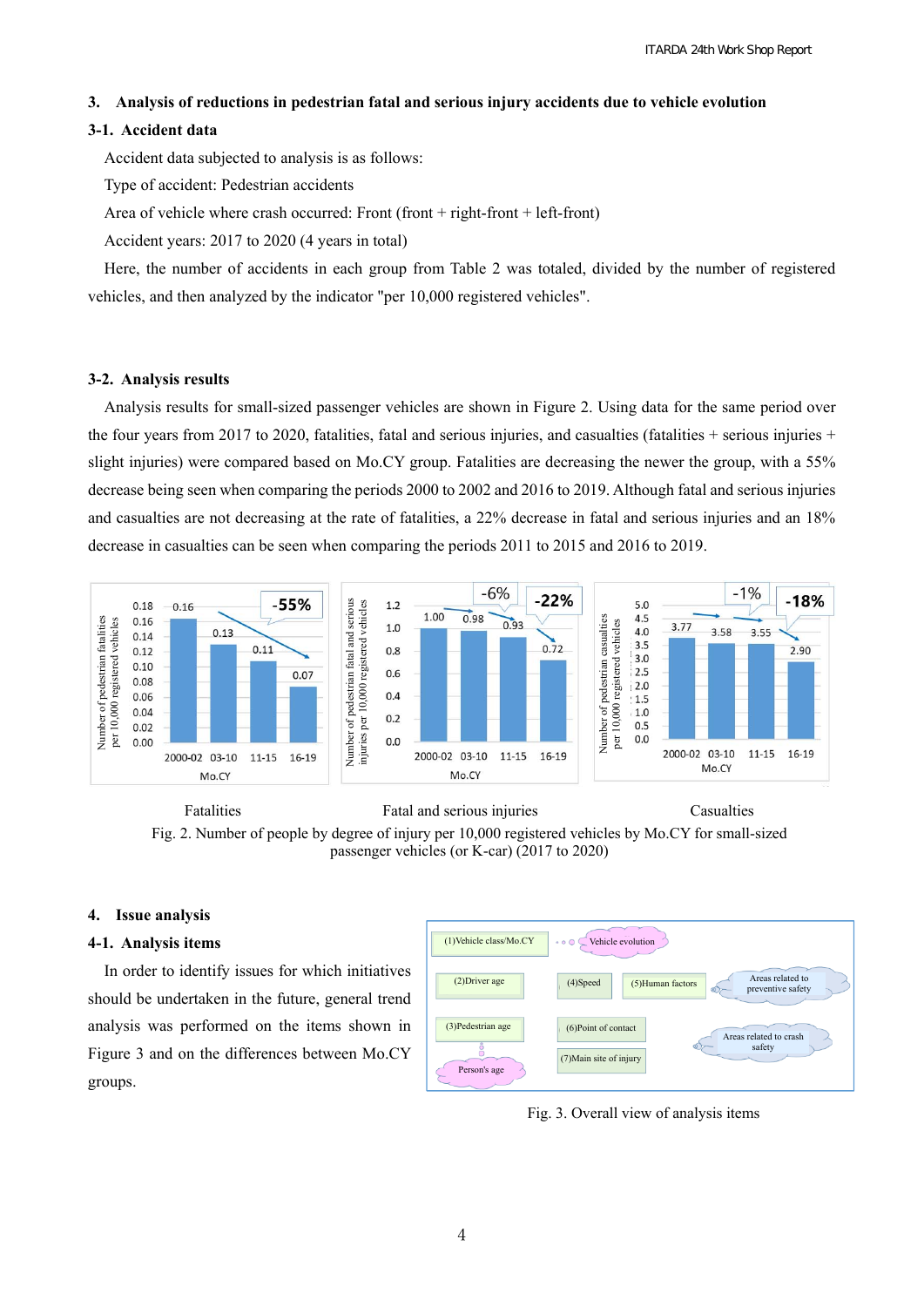#### **3. Analysis of reductions in pedestrian fatal and serious injury accidents due to vehicle evolution**

#### **3-1. Accident data**

Accident data subjected to analysis is as follows:

Type of accident: Pedestrian accidents

Area of vehicle where crash occurred: Front (front + right-front + left-front)

Accident years: 2017 to 2020 (4 years in total)

Here, the number of accidents in each group from Table 2 was totaled, divided by the number of registered vehicles, and then analyzed by the indicator "per 10,000 registered vehicles".

#### **3-2. Analysis results**

Analysis results for small-sized passenger vehicles are shown in Figure 2. Using data for the same period over the four years from 2017 to 2020, fatalities, fatal and serious injuries, and casualties (fatalities + serious injuries + slight injuries) were compared based on Mo.CY group. Fatalities are decreasing the newer the group, with a 55% decrease being seen when comparing the periods 2000 to 2002 and 2016 to 2019. Although fatal and serious injuries and casualties are not decreasing at the rate of fatalities, a 22% decrease in fatal and serious injuries and an 18% decrease in casualties can be seen when comparing the periods 2011 to 2015 and 2016 to 2019.



Fatalities Fatal and serious injuries Casualties Fig. 2. Number of people by degree of injury per 10,000 registered vehicles by Mo.CY for small-sized passenger vehicles (or K-car) (2017 to 2020)

#### **4. Issue analysis**

#### **4-1. Analysis items**

In order to identify issues for which initiatives should be undertaken in the future, general trend analysis was performed on the items shown in Figure 3 and on the differences between Mo.CY groups.

| (1) Vehicle class/Mo.CY | Vehicle evolution<br>$+ 0 0$ |                                                            |  |  |  |  |  |  |  |  |
|-------------------------|------------------------------|------------------------------------------------------------|--|--|--|--|--|--|--|--|
| $(2)$ Driver age        | (4) Speed                    | Areas related to<br>(5) Human factors<br>preventive safety |  |  |  |  |  |  |  |  |
| (3) Pedestrian age      | (6) Point of contact         | Areas related to crash                                     |  |  |  |  |  |  |  |  |
| Person's age            | (7) Main site of injury      | safety                                                     |  |  |  |  |  |  |  |  |

Fig. 3. Overall view of analysis items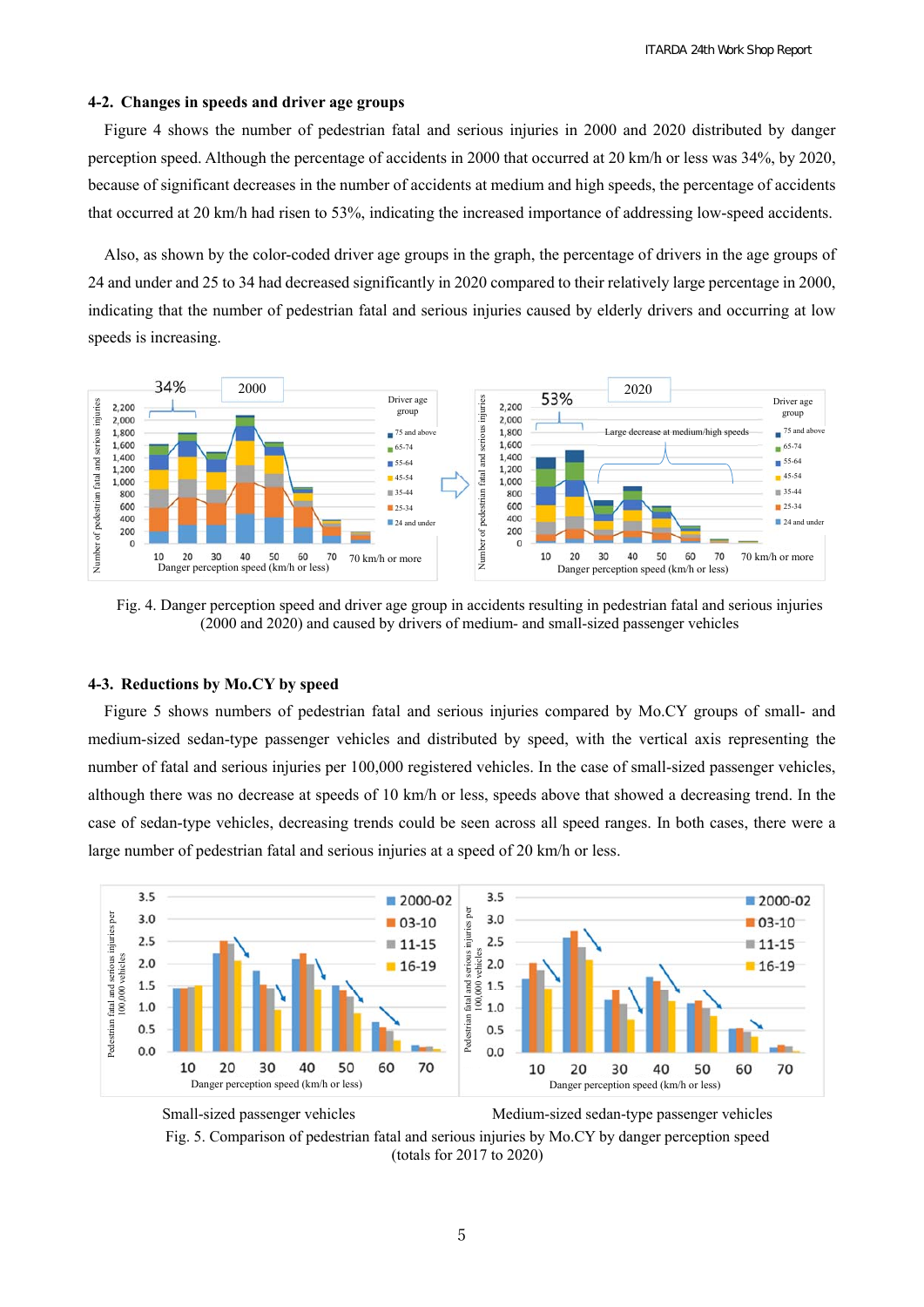#### **4-2. Changes in speeds and driver age groups**

Figure 4 shows the number of pedestrian fatal and serious injuries in 2000 and 2020 distributed by danger perception speed. Although the percentage of accidents in 2000 that occurred at 20 km/h or less was 34%, by 2020, because of significant decreases in the number of accidents at medium and high speeds, the percentage of accidents that occurred at 20 km/h had risen to 53%, indicating the increased importance of addressing low-speed accidents.

Also, as shown by the color-coded driver age groups in the graph, the percentage of drivers in the age groups of 24 and under and 25 to 34 had decreased significantly in 2020 compared to their relatively large percentage in 2000, indicating that the number of pedestrian fatal and serious injuries caused by elderly drivers and occurring at low speeds is increasing.



Fig. 4. Danger perception speed and driver age group in accidents resulting in pedestrian fatal and serious injuries (2000 and 2020) and caused by drivers of medium- and small-sized passenger vehicles

#### **4-3. Reductions by Mo.CY by speed**

Figure 5 shows numbers of pedestrian fatal and serious injuries compared by Mo.CY groups of small- and medium-sized sedan-type passenger vehicles and distributed by speed, with the vertical axis representing the number of fatal and serious injuries per 100,000 registered vehicles. In the case of small-sized passenger vehicles, although there was no decrease at speeds of 10 km/h or less, speeds above that showed a decreasing trend. In the case of sedan-type vehicles, decreasing trends could be seen across all speed ranges. In both cases, there were a large number of pedestrian fatal and serious injuries at a speed of 20 km/h or less.



Small-sized passenger vehicles Medium-sized sedan-type passenger vehicles Fig. 5. Comparison of pedestrian fatal and serious injuries by Mo.CY by danger perception speed (totals for 2017 to 2020)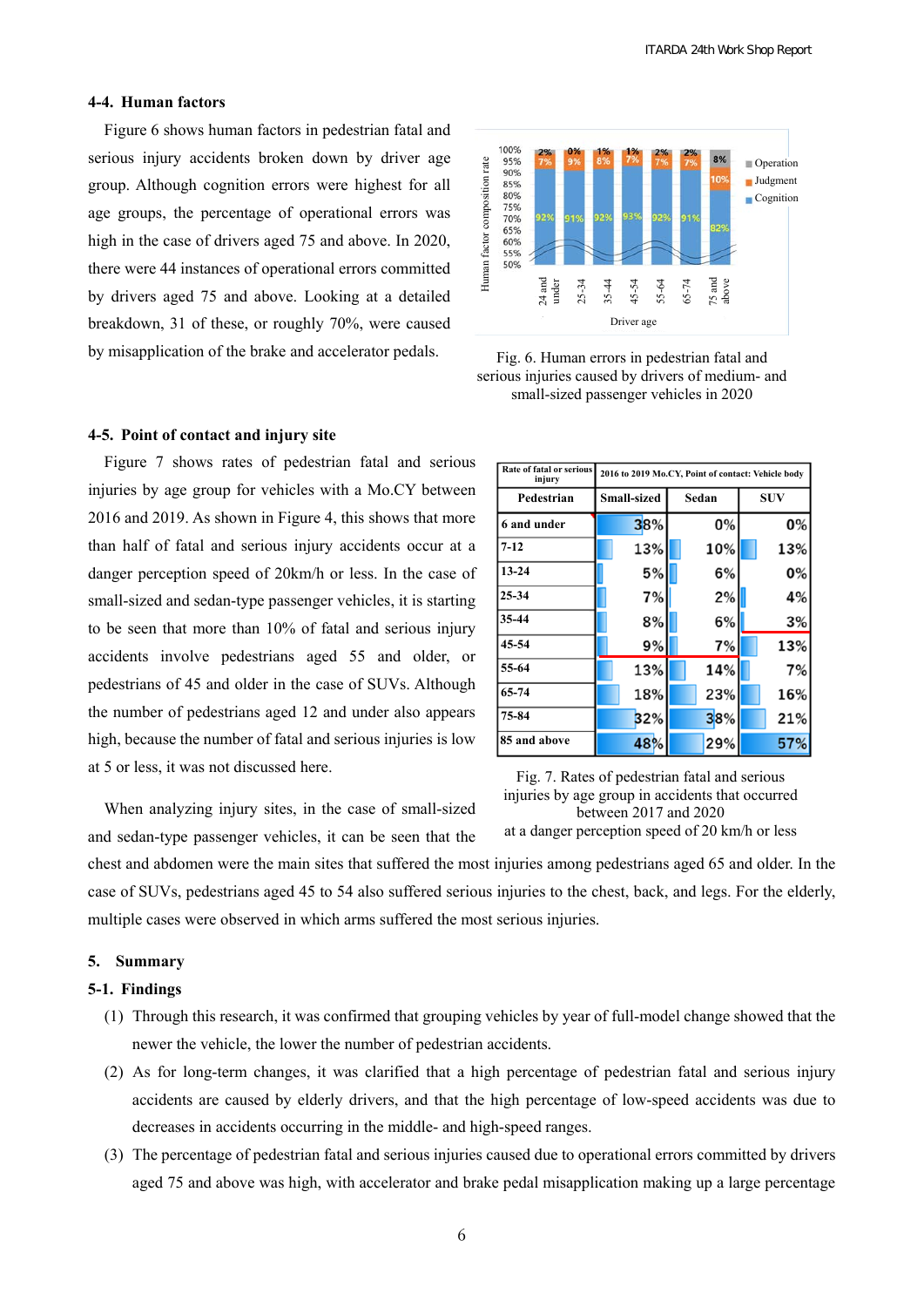# **4-4. Human factors**

Figure 6 shows human factors in pedestrian fatal and serious injury accidents broken down by driver age group. Although cognition errors were highest for all age groups, the percentage of operational errors was high in the case of drivers aged 75 and above. In 2020, there were 44 instances of operational errors committed by drivers aged 75 and above. Looking at a detailed breakdown, 31 of these, or roughly 70%, were caused by misapplication of the brake and accelerator pedals.

# **4-5. Point of contact and injury site**

Figure 7 shows rates of pedestrian fatal and serious injuries by age group for vehicles with a Mo.CY between 2016 and 2019. As shown in Figure 4, this shows that more than half of fatal and serious injury accidents occur at a danger perception speed of 20km/h or less. In the case of small-sized and sedan-type passenger vehicles, it is starting to be seen that more than 10% of fatal and serious injury accidents involve pedestrians aged 55 and older, or pedestrians of 45 and older in the case of SUVs. Although the number of pedestrians aged 12 and under also appears high, because the number of fatal and serious injuries is low at 5 or less, it was not discussed here.



Fig. 6. Human errors in pedestrian fatal and serious injuries caused by drivers of medium- and small-sized passenger vehicles in 2020

| Rate of fatal or serious<br>injury | 2016 to 2019 Mo.CY, Point of contact: Vehicle body |       |            |  |  |
|------------------------------------|----------------------------------------------------|-------|------------|--|--|
| Pedestrian                         | Small-sized                                        | Sedan | <b>SUV</b> |  |  |
| 6 and under                        | 38%                                                | 0%    | 0%         |  |  |
| $7 - 12$                           | 13%                                                | 10%   | 13%        |  |  |
| $13 - 24$                          | 5%                                                 | 6%    | 0%         |  |  |
| 25-34                              | 7%                                                 | 2%    | 4%         |  |  |
| 35-44                              | 8%                                                 | 6%    | 3%         |  |  |
| 45-54                              | 9%                                                 | 7%    | 13%        |  |  |
| 55-64                              | 13%                                                | 14%   | 7%         |  |  |
| 65-74                              | 18%                                                | 23%   | 16%        |  |  |
| 75-84                              | 32%                                                | 38%   | 21%        |  |  |
| 85 and above                       | 48%                                                | 29%   | 57%        |  |  |

Fig. 7. Rates of pedestrian fatal and serious injuries by age group in accidents that occurred between 2017 and 2020 at a danger perception speed of 20 km/h or less

When analyzing injury sites, in the case of small-sized and sedan-type passenger vehicles, it can be seen that the

chest and abdomen were the main sites that suffered the most injuries among pedestrians aged 65 and older. In the case of SUVs, pedestrians aged 45 to 54 also suffered serious injuries to the chest, back, and legs. For the elderly, multiple cases were observed in which arms suffered the most serious injuries.

#### **5. Summary**

#### **5-1. Findings**

- (1) Through this research, it was confirmed that grouping vehicles by year of full-model change showed that the newer the vehicle, the lower the number of pedestrian accidents.
- (2) As for long-term changes, it was clarified that a high percentage of pedestrian fatal and serious injury accidents are caused by elderly drivers, and that the high percentage of low-speed accidents was due to decreases in accidents occurring in the middle- and high-speed ranges.
- (3) The percentage of pedestrian fatal and serious injuries caused due to operational errors committed by drivers aged 75 and above was high, with accelerator and brake pedal misapplication making up a large percentage